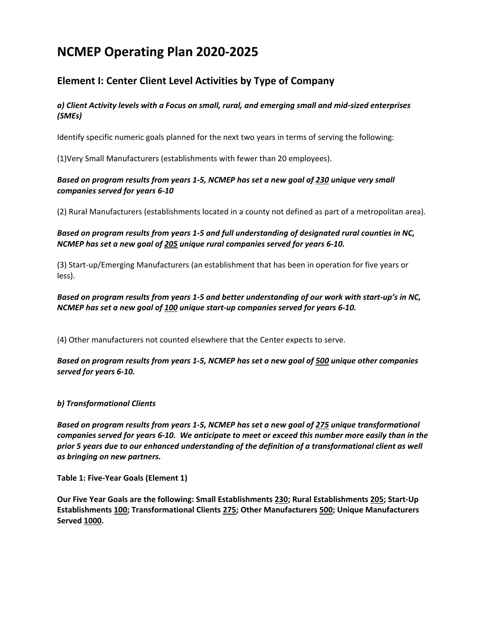# **NCMEP Operating Plan 2020-2025**

# **Element I: Center Client Level Activities by Type of Company**

## *a) Client Activity levels with a Focus on small, rural, and emerging small and mid‐sized enterprises (SMEs)*

Identify specific numeric goals planned for the next two years in terms of serving the following:

(1)Very Small Manufacturers (establishments with fewer than 20 employees).

### *Based on program results from years 1-5, NCMEP has set a new goal of 230 unique very small companies served for years 6-10*

(2) Rural Manufacturers (establishments located in a county not defined as part of a metropolitan area).

*Based on program results from years 1-5 and full understanding of designated rural counties in NC, NCMEP has set a new goal of 205 unique rural companies served for years 6-10.* 

(3) Start‐up/Emerging Manufacturers (an establishment that has been in operation for five years or less).

*Based on program results from years 1-5 and better understanding of our work with start-up's in NC, NCMEP has set a new goal of 100 unique start-up companies served for years 6-10.* 

(4) Other manufacturers not counted elsewhere that the Center expects to serve.

*Based on program results from years 1-5, NCMEP has set a new goal of 500 unique other companies served for years 6-10.* 

### *b) Transformational Clients*

*Based on program results from years 1-5, NCMEP has set a new goal of 275 unique transformational companies served for years 6-10. We anticipate to meet or exceed this number more easily than in the prior 5 years due to our enhanced understanding of the definition of a transformational client as well as bringing on new partners.*

**Table 1: Five-Year Goals (Element 1)**

**Our Five Year Goals are the following: Small Establishments 230; Rural Establishments 205; Start-Up Establishments 100; Transformational Clients 275; Other Manufacturers 500; Unique Manufacturers Served 1000.**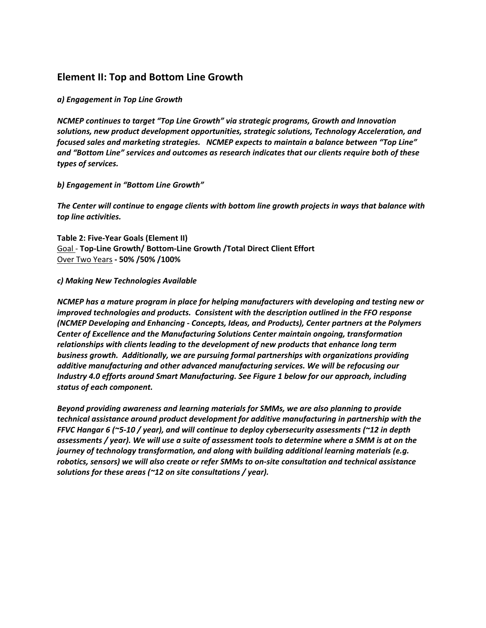# **Element II: Top and Bottom Line Growth**

#### *a) Engagement in Top Line Growth*

*NCMEP continues to target "Top Line Growth" via strategic programs, Growth and Innovation solutions, new product development opportunities, strategic solutions, Technology Acceleration, and focused sales and marketing strategies. NCMEP expects to maintain a balance between "Top Line" and "Bottom Line" services and outcomes as research indicates that our clients require both of these types of services.*

#### *b) Engagement in "Bottom Line Growth"*

*The Center will continue to engage clients with bottom line growth projects in ways that balance with top line activities.*

**Table 2: Five-Year Goals (Element II)** Goal - **Top-Line Growth/ Bottom-Line Growth /Total Direct Client Effort** Over Two Years **- 50% /50% /100%** 

#### *c) Making New Technologies Available*

*NCMEP has a mature program in place for helping manufacturers with developing and testing new or improved technologies and products. Consistent with the description outlined in the FFO response (NCMEP Developing and Enhancing - Concepts, Ideas, and Products), Center partners at the Polymers Center of Excellence and the Manufacturing Solutions Center maintain ongoing, transformation relationships with clients leading to the development of new products that enhance long term business growth. Additionally, we are pursuing formal partnerships with organizations providing additive manufacturing and other advanced manufacturing services. We will be refocusing our Industry 4.0 efforts around Smart Manufacturing. See Figure 1 below for our approach, including status of each component.* 

*Beyond providing awareness and learning materials for SMMs, we are also planning to provide technical assistance around product development for additive manufacturing in partnership with the FFVC Hangar 6 (~5-10 / year), and will continue to deploy cybersecurity assessments (~12 in depth assessments / year). We will use a suite of assessment tools to determine where a SMM is at on the journey of technology transformation, and along with building additional learning materials (e.g. robotics, sensors) we will also create or refer SMMs to on-site consultation and technical assistance solutions for these areas (~12 on site consultations / year).*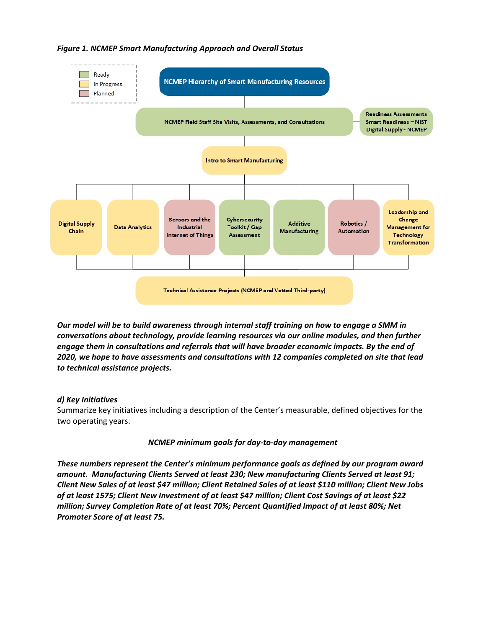

# *Figure 1. NCMEP Smart Manufacturing Approach and Overall Status*

*Our model will be to build awareness through internal staff training on how to engage a SMM in conversations about technology, provide learning resources via our online modules, and then further engage them in consultations and referrals that will have broader economic impacts. By the end of 2020, we hope to have assessments and consultations with 12 companies completed on site that lead to technical assistance projects.* 

# *d) Key Initiatives*

Summarize key initiatives including a description of the Center's measurable, defined objectives for the two operating years.

# *NCMEP minimum goals for day-to-day management*

*These numbers represent the Center's minimum performance goals as defined by our program award amount. Manufacturing Clients Served at least 230; New manufacturing Clients Served at least 91; Client New Sales of at least \$47 million; Client Retained Sales of at least \$110 million; Client New Jobs of at least 1575; Client New Investment of at least \$47 million; Client Cost Savings of at least \$22 million; Survey Completion Rate of at least 70%; Percent Quantified Impact of at least 80%; Net Promoter Score of at least 75.*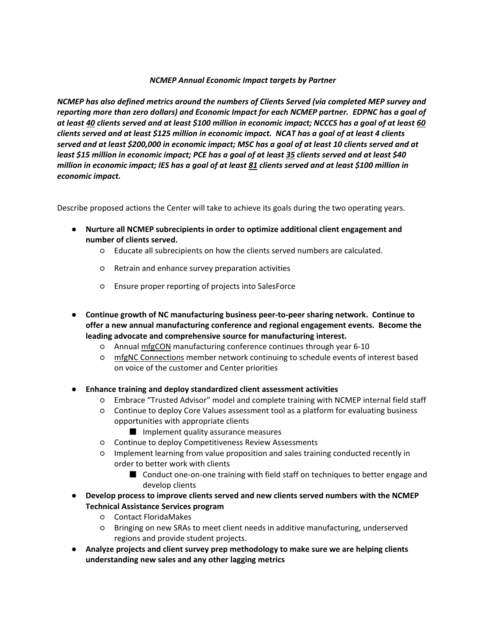#### *NCMEP Annual Economic Impact targets by Partner*

*NCMEP has also defined metrics around the numbers of Clients Served (via completed MEP survey and reporting more than zero dollars) and Economic Impact for each NCMEP partner. EDPNC has a goal of at least 40 clients served and at least \$100 million in economic impact; NCCCS has a goal of at least 60 clients served and at least \$125 million in economic impact. NCAT has a goal of at least 4 clients served and at least \$200,000 in economic impact; MSC has a goal of at least 10 clients served and at least \$15 million in economic impact; PCE has a goal of at least 35 clients served and at least \$40 million in economic impact; IES has a goal of at least 81 clients served and at least \$100 million in economic impact.*

Describe proposed actions the Center will take to achieve its goals during the two operating years.

- **Nurture all NCMEP subrecipients in order to optimize additional client engagement and number of clients served.** 
	- Educate all subrecipients on how the clients served numbers are calculated.
	- Retrain and enhance survey preparation activities
	- Ensure proper reporting of projects into SalesForce
- **Continue growth of NC manufacturing business peer-to-peer sharing network. Continue to offer a new annual manufacturing conference and regional engagement events. Become the leading advocate and comprehensive source for manufacturing interest.** 
	- Annual mfgCON manufacturing conference continues through year 6-10
	- mfgNC Connections member network continuing to schedule events of interest based on voice of the customer and Center priorities
- **Enhance training and deploy standardized client assessment activities**
	- Embrace "Trusted Advisor" model and complete training with NCMEP internal field staff
	- Continue to deploy Core Values assessment tool as a platform for evaluating business opportunities with appropriate clients
		- Implement quality assurance measures
	- Continue to deploy Competitiveness Review Assessments
	- Implement learning from value proposition and sales training conducted recently in order to better work with clients
		- Conduct one-on-one training with field staff on techniques to better engage and develop clients
- **Develop process to improve clients served and new clients served numbers with the NCMEP Technical Assistance Services program**
	- Contact FloridaMakes
	- Bringing on new SRAs to meet client needs in additive manufacturing, underserved regions and provide student projects.
- **Analyze projects and client survey prep methodology to make sure we are helping clients understanding new sales and any other lagging metrics**